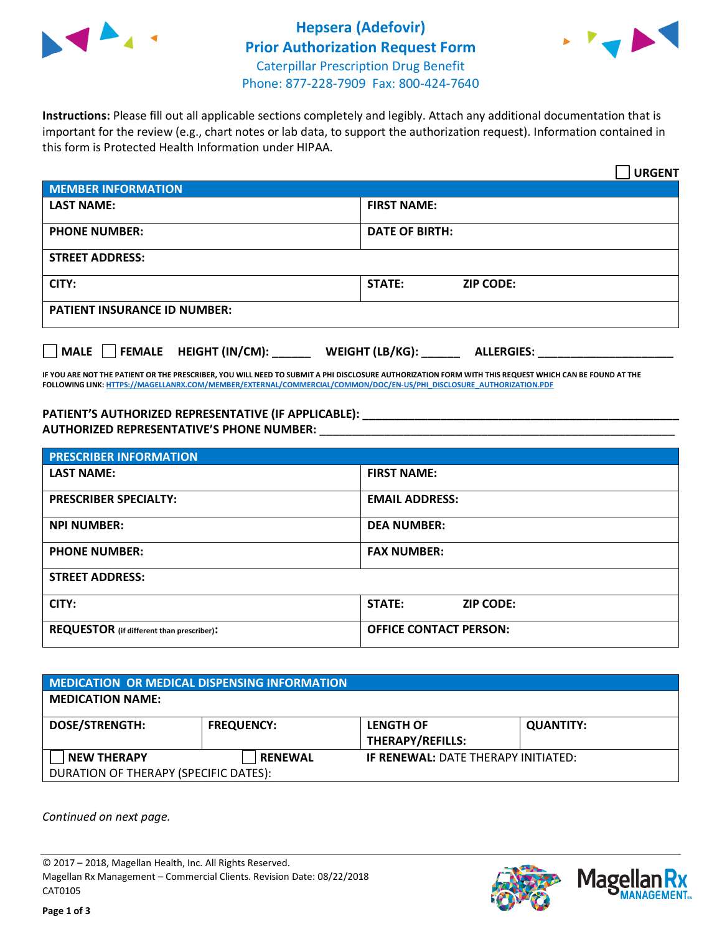



**Instructions:** Please fill out all applicable sections completely and legibly. Attach any additional documentation that is important for the review (e.g., chart notes or lab data, to support the authorization request). Information contained in this form is Protected Health Information under HIPAA.

|                                       | <b>URGENT</b>                        |  |  |  |
|---------------------------------------|--------------------------------------|--|--|--|
| <b>MEMBER INFORMATION</b>             |                                      |  |  |  |
| <b>LAST NAME:</b>                     | <b>FIRST NAME:</b>                   |  |  |  |
| <b>PHONE NUMBER:</b>                  | <b>DATE OF BIRTH:</b>                |  |  |  |
| <b>STREET ADDRESS:</b>                |                                      |  |  |  |
| CITY:                                 | <b>ZIP CODE:</b><br>STATE:           |  |  |  |
| <b>PATIENT INSURANCE ID NUMBER:</b>   |                                      |  |  |  |
| FEMALE HEIGHT (IN/CM):<br><b>MALE</b> | WEIGHT (LB/KG):<br><b>ALLERGIES:</b> |  |  |  |

**IF YOU ARE NOT THE PATIENT OR THE PRESCRIBER, YOU WILL NEED TO SUBMIT A PHI DISCLOSURE AUTHORIZATION FORM WITH THIS REQUEST WHICH CAN BE FOUND AT THE FOLLOWING LINK[: HTTPS://MAGELLANRX.COM/MEMBER/EXTERNAL/COMMERCIAL/COMMON/DOC/EN-US/PHI\\_DISCLOSURE\\_AUTHORIZATION.PDF](https://magellanrx.com/member/external/commercial/common/doc/en-us/PHI_Disclosure_Authorization.pdf)**

**PATIENT'S AUTHORIZED REPRESENTATIVE (IF APPLICABLE): \_\_\_\_\_\_\_\_\_\_\_\_\_\_\_\_\_\_\_\_\_\_\_\_\_\_\_\_\_\_\_\_\_\_\_\_\_\_\_\_\_\_\_\_\_\_\_\_\_ AUTHORIZED REPRESENTATIVE'S PHONE NUMBER:** \_\_\_\_\_\_\_\_\_\_\_\_\_\_\_\_\_\_\_\_\_\_\_\_\_\_\_\_\_\_\_\_\_\_\_\_\_\_\_\_\_\_\_\_\_\_\_\_\_\_\_\_\_\_\_

| <b>PRESCRIBER INFORMATION</b>             |                               |  |  |  |
|-------------------------------------------|-------------------------------|--|--|--|
| <b>LAST NAME:</b>                         | <b>FIRST NAME:</b>            |  |  |  |
| <b>PRESCRIBER SPECIALTY:</b>              | <b>EMAIL ADDRESS:</b>         |  |  |  |
| <b>NPI NUMBER:</b>                        | <b>DEA NUMBER:</b>            |  |  |  |
| <b>PHONE NUMBER:</b>                      | <b>FAX NUMBER:</b>            |  |  |  |
| <b>STREET ADDRESS:</b>                    |                               |  |  |  |
| CITY:                                     | STATE:<br><b>ZIP CODE:</b>    |  |  |  |
| REQUESTOR (if different than prescriber): | <b>OFFICE CONTACT PERSON:</b> |  |  |  |

| <b>MEDICATION OR MEDICAL DISPENSING INFORMATION</b> |                   |                                             |                  |  |  |
|-----------------------------------------------------|-------------------|---------------------------------------------|------------------|--|--|
| <b>MEDICATION NAME:</b>                             |                   |                                             |                  |  |  |
| <b>DOSE/STRENGTH:</b>                               | <b>FREQUENCY:</b> | <b>LENGTH OF</b><br><b>THERAPY/REFILLS:</b> | <b>QUANTITY:</b> |  |  |
| <b>NEW THERAPY</b>                                  | <b>RENEWAL</b>    | <b>IF RENEWAL: DATE THERAPY INITIATED:</b>  |                  |  |  |
| DURATION OF THERAPY (SPECIFIC DATES):               |                   |                                             |                  |  |  |

*Continued on next page.*

© 2017 – 2018, Magellan Health, Inc. All Rights Reserved. Magellan Rx Management – Commercial Clients. Revision Date: 08/22/2018 CAT0105



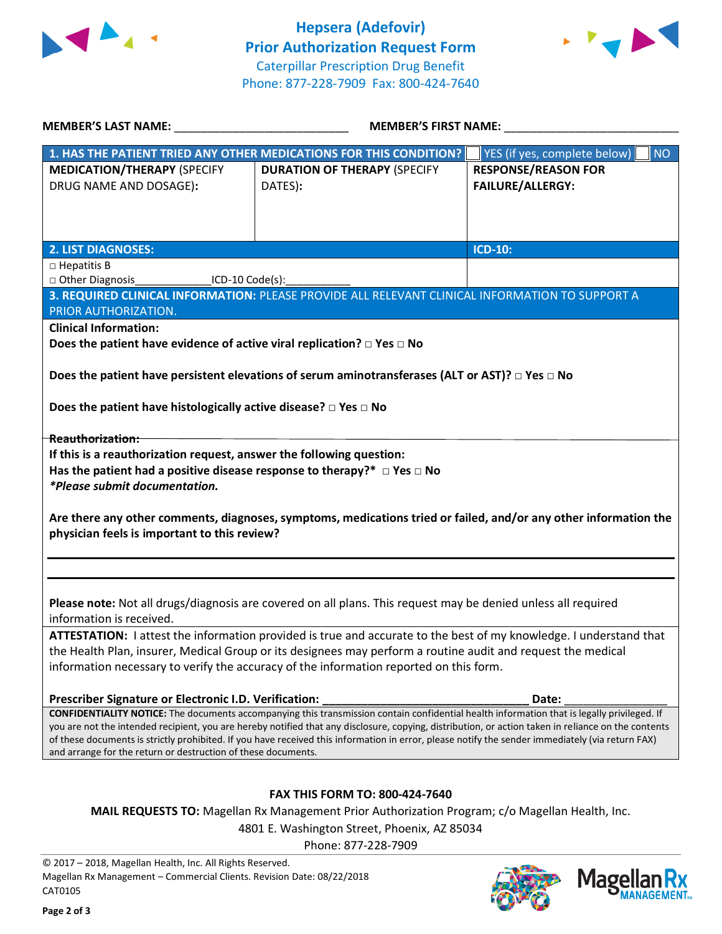



| MEMBER'S LAST NAME: NAME:                                                                                                                                                                                         | <b>MEMBER'S FIRST NAME:</b>                                                                                                                 |                                           |  |  |
|-------------------------------------------------------------------------------------------------------------------------------------------------------------------------------------------------------------------|---------------------------------------------------------------------------------------------------------------------------------------------|-------------------------------------------|--|--|
|                                                                                                                                                                                                                   | 1. HAS THE PATIENT TRIED ANY OTHER MEDICATIONS FOR THIS CONDITION?                                                                          | YES (if yes, complete below)<br><b>NO</b> |  |  |
| <b>MEDICATION/THERAPY (SPECIFY</b>                                                                                                                                                                                | <b>DURATION OF THERAPY (SPECIFY</b>                                                                                                         | <b>RESPONSE/REASON FOR</b>                |  |  |
| DRUG NAME AND DOSAGE):                                                                                                                                                                                            | DATES):                                                                                                                                     | <b>FAILURE/ALLERGY:</b>                   |  |  |
|                                                                                                                                                                                                                   |                                                                                                                                             |                                           |  |  |
|                                                                                                                                                                                                                   |                                                                                                                                             |                                           |  |  |
| 2. LIST DIAGNOSES:                                                                                                                                                                                                |                                                                                                                                             | <b>ICD-10:</b>                            |  |  |
| $\Box$ Hepatitis B                                                                                                                                                                                                |                                                                                                                                             |                                           |  |  |
| □ Other Diagnosis<br>$LO-10 Code(s):$                                                                                                                                                                             |                                                                                                                                             |                                           |  |  |
|                                                                                                                                                                                                                   | 3. REQUIRED CLINICAL INFORMATION: PLEASE PROVIDE ALL RELEVANT CLINICAL INFORMATION TO SUPPORT A                                             |                                           |  |  |
| PRIOR AUTHORIZATION.                                                                                                                                                                                              |                                                                                                                                             |                                           |  |  |
| <b>Clinical Information:</b>                                                                                                                                                                                      |                                                                                                                                             |                                           |  |  |
| Does the patient have evidence of active viral replication? $\Box$ Yes $\Box$ No                                                                                                                                  |                                                                                                                                             |                                           |  |  |
|                                                                                                                                                                                                                   |                                                                                                                                             |                                           |  |  |
|                                                                                                                                                                                                                   | Does the patient have persistent elevations of serum aminotransferases (ALT or AST)? $\Box$ Yes $\Box$ No                                   |                                           |  |  |
| Does the patient have histologically active disease? $\square$ Yes $\square$ No                                                                                                                                   |                                                                                                                                             |                                           |  |  |
|                                                                                                                                                                                                                   |                                                                                                                                             |                                           |  |  |
| Reauthorization:                                                                                                                                                                                                  |                                                                                                                                             |                                           |  |  |
| If this is a reauthorization request, answer the following question:                                                                                                                                              |                                                                                                                                             |                                           |  |  |
| Has the patient had a positive disease response to therapy?* $\Box$ Yes $\Box$ No                                                                                                                                 |                                                                                                                                             |                                           |  |  |
| *Please submit documentation.                                                                                                                                                                                     |                                                                                                                                             |                                           |  |  |
| Are there any other comments, diagnoses, symptoms, medications tried or failed, and/or any other information the<br>physician feels is important to this review?                                                  |                                                                                                                                             |                                           |  |  |
|                                                                                                                                                                                                                   |                                                                                                                                             |                                           |  |  |
|                                                                                                                                                                                                                   |                                                                                                                                             |                                           |  |  |
| Please note: Not all drugs/diagnosis are covered on all plans. This request may be denied unless all required                                                                                                     |                                                                                                                                             |                                           |  |  |
| information is received.                                                                                                                                                                                          |                                                                                                                                             |                                           |  |  |
| ATTESTATION: I attest the information provided is true and accurate to the best of my knowledge. I understand that                                                                                                |                                                                                                                                             |                                           |  |  |
| the Health Plan, insurer, Medical Group or its designees may perform a routine audit and request the medical                                                                                                      |                                                                                                                                             |                                           |  |  |
| information necessary to verify the accuracy of the information reported on this form.                                                                                                                            |                                                                                                                                             |                                           |  |  |
| Prescriber Signature or Electronic I.D. Verification:                                                                                                                                                             |                                                                                                                                             | Date:                                     |  |  |
|                                                                                                                                                                                                                   | CONFIDENTIALITY NOTICE: The documents accompanying this transmission contain confidential health information that is legally privileged. If |                                           |  |  |
| you are not the intended recipient, you are hereby notified that any disclosure, copying, distribution, or action taken in reliance on the contents                                                               |                                                                                                                                             |                                           |  |  |
| of these documents is strictly prohibited. If you have received this information in error, please notify the sender immediately (via return FAX)<br>and arrange for the return or destruction of these documents. |                                                                                                                                             |                                           |  |  |
|                                                                                                                                                                                                                   |                                                                                                                                             |                                           |  |  |
|                                                                                                                                                                                                                   |                                                                                                                                             |                                           |  |  |
| <b>FAX THIS FORM TO: 800-424-7640</b>                                                                                                                                                                             |                                                                                                                                             |                                           |  |  |
| <b>MAIL REQUESTS TO:</b> Magellan Rx Management Prior Authorization Program; c/o Magellan Health, Inc.                                                                                                            |                                                                                                                                             |                                           |  |  |
| 4801 E. Washington Street, Phoenix, AZ 85034                                                                                                                                                                      |                                                                                                                                             |                                           |  |  |

Phone: 877-228-7909

© 2017 – 2018, Magellan Health, Inc. All Rights Reserved. Magellan Rx Management – Commercial Clients. Revision Date: 08/22/2018 CAT0105